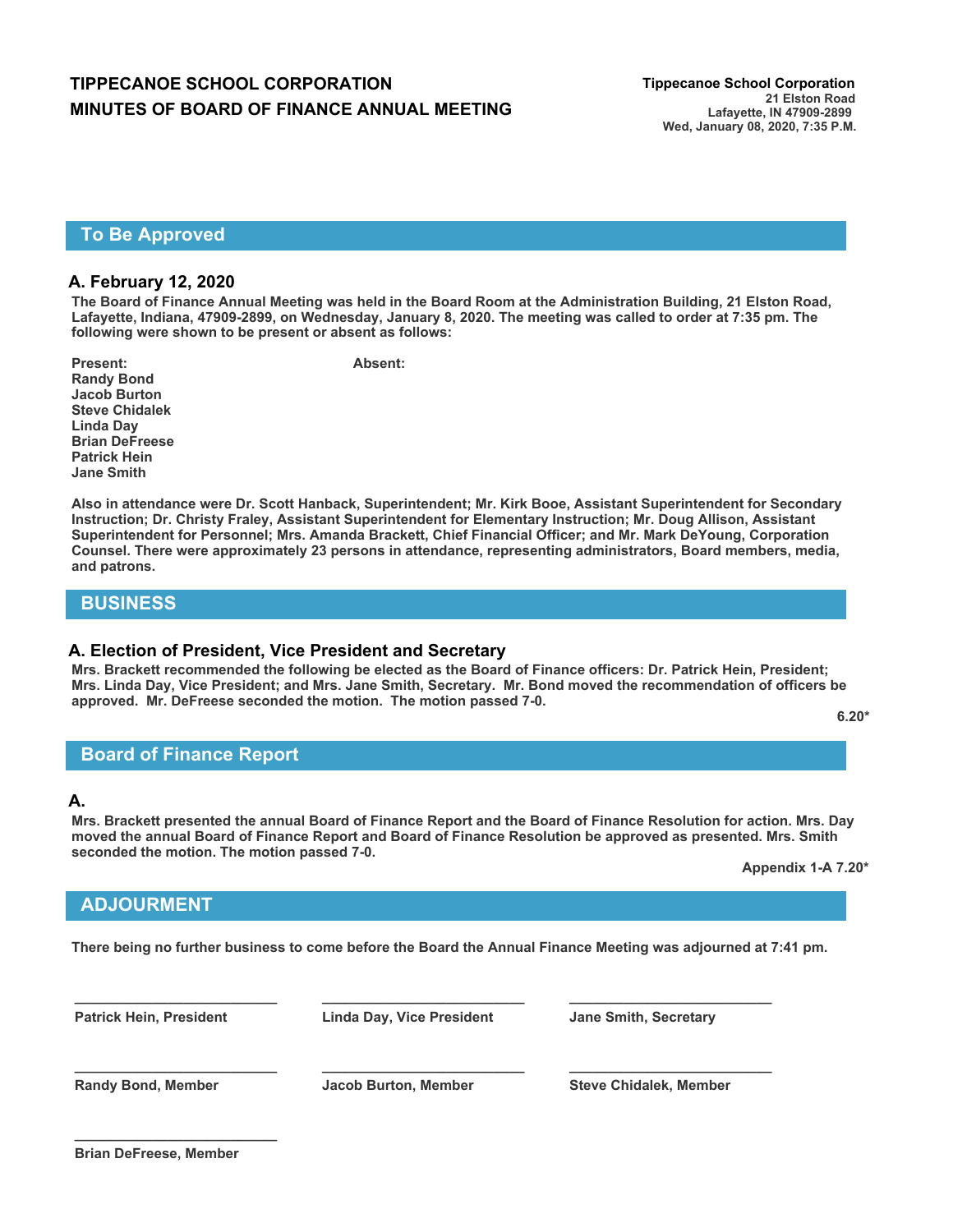# **TIPPECANOE SCHOOL CORPORATION Tippecanoe School Corporation MINUTES OF BOARD OF FINANCE ANNUAL MEETING**

### **To Be Approved**

#### **A. February 12, 2020**

**The Board of Finance Annual Meeting was held in the Board Room at the Administration Building, 21 Elston Road, Lafayette, Indiana, 47909-2899, on Wednesday, January 8, 2020. The meeting was called to order at 7:35 pm. The following were shown to be present or absent as follows:**

Present: Absent: **Randy Bond Jacob Burton Steve Chidalek Linda Day Brian DeFreese Patrick Hein Jane Smith**

**Also in attendance were Dr. Scott Hanback, Superintendent; Mr. Kirk Booe, Assistant Superintendent for Secondary Instruction; Dr. Christy Fraley, Assistant Superintendent for Elementary Instruction; Mr. Doug Allison, Assistant Superintendent for Personnel; Mrs. Amanda Brackett, Chief Financial Officer; and Mr. Mark DeYoung, Corporation Counsel. There were approximately 23 persons in attendance, representing administrators, Board members, media, and patrons.**

## **BUSINESS**

#### **A. Election of President, Vice President and Secretary**

**Mrs. Brackett recommended the following be elected as the Board of Finance officers: Dr. Patrick Hein, President; Mrs. Linda Day, Vice President; and Mrs. Jane Smith, Secretary. Mr. Bond moved the recommendation of officers be approved. Mr. DeFreese seconded the motion. The motion passed 7-0.** 

**6.20\***

## **Board of Finance Report**

#### **A.**

**Mrs. Brackett presented the annual Board of Finance Report and the Board of Finance Resolution for action. Mrs. Day moved the annual Board of Finance Report and Board of Finance Resolution be approved as presented. Mrs. Smith seconded the motion. The motion passed 7-0.**

**Appendix 1-A 7.20\***

## **ADJOURMENT**

**There being no further business to come before the Board the Annual Finance Meeting was adjourned at 7:41 pm.**

**Patrick Hein, President Linda Day, Vice President Jane Smith, Secretary**

**\_\_\_\_\_\_\_\_\_\_\_\_\_\_\_\_\_\_\_\_\_\_\_\_\_\_ \_\_\_\_\_\_\_\_\_\_\_\_\_\_\_\_\_\_\_\_\_\_\_\_\_\_ \_\_\_\_\_\_\_\_\_\_\_\_\_\_\_\_\_\_\_\_\_\_\_\_\_\_**

**\_\_\_\_\_\_\_\_\_\_\_\_\_\_\_\_\_\_\_\_\_\_\_\_\_\_ \_\_\_\_\_\_\_\_\_\_\_\_\_\_\_\_\_\_\_\_\_\_\_\_\_\_ \_\_\_\_\_\_\_\_\_\_\_\_\_\_\_\_\_\_\_\_\_\_\_\_\_\_**

**Randy Bond, Member Jacob Burton, Member Steve Chidalek, Member**

**\_\_\_\_\_\_\_\_\_\_\_\_\_\_\_\_\_\_\_\_\_\_\_\_\_\_**